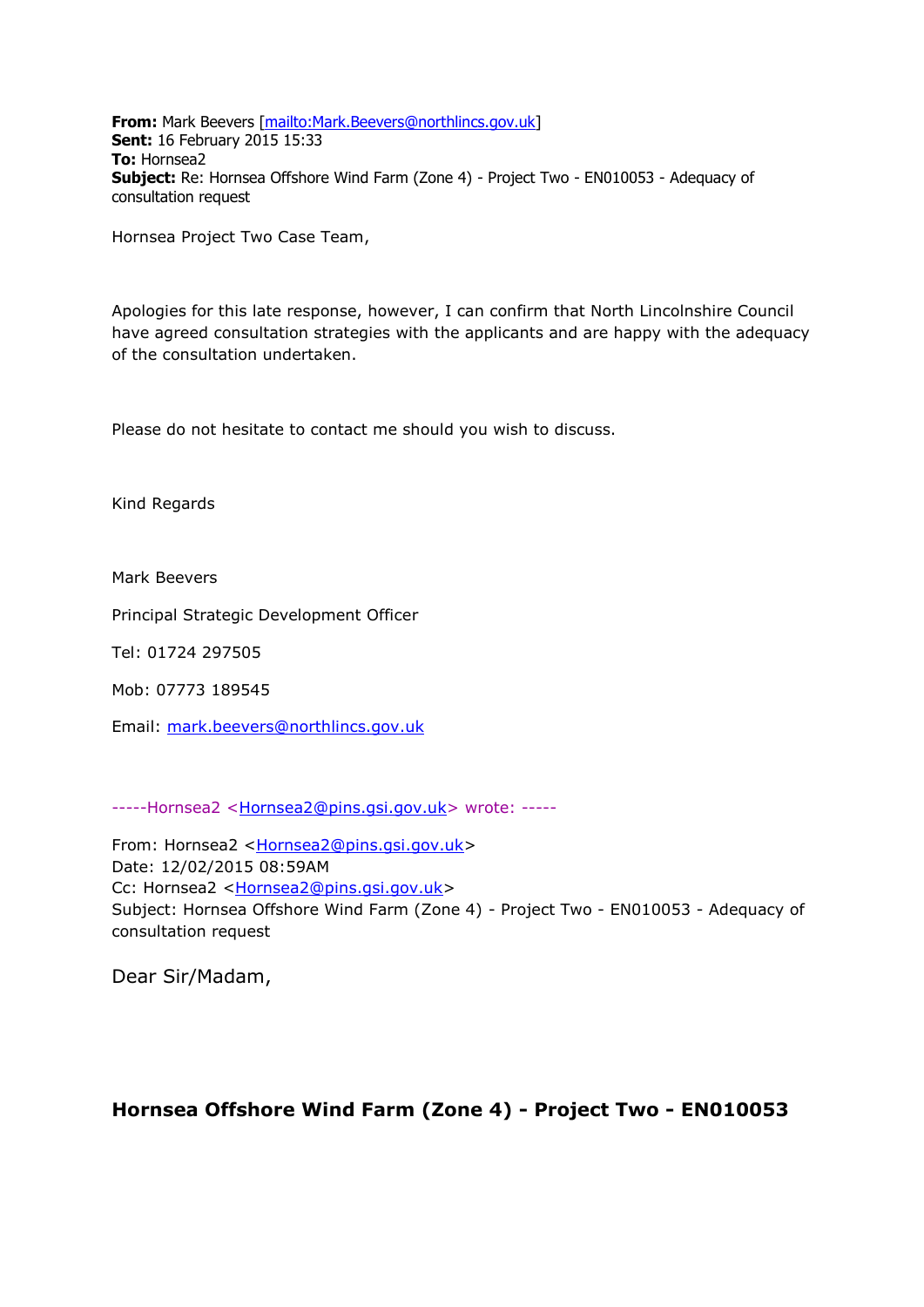**From:** Mark Beevers [\[mailto:Mark.Beevers@northlincs.gov.uk\]](mailto:Mark.Beevers@northlincs.gov.uk) **Sent:** 16 February 2015 15:33 **To:** Hornsea2 **Subject:** Re: Hornsea Offshore Wind Farm (Zone 4) - Project Two - EN010053 - Adequacy of consultation request

Hornsea Project Two Case Team,

Apologies for this late response, however, I can confirm that North Lincolnshire Council have agreed consultation strategies with the applicants and are happy with the adequacy of the consultation undertaken.

Please do not hesitate to contact me should you wish to discuss.

Kind Regards

Mark Beevers

Principal Strategic Development Officer

Tel: 01724 297505

Mob: 07773 189545

Email: [mark.beevers@northlincs.gov.uk](mailto:mark.beevers@northlincs.gov.uk)

-----Hornsea2 [<Hornsea2@pins.gsi.gov.uk>](mailto:Hornsea2@pins.gsi.gov.uk) wrote: -----

From: Hornsea2 [<Hornsea2@pins.gsi.gov.uk>](mailto:Hornsea2@pins.gsi.gov.uk) Date: 12/02/2015 08:59AM Cc: Hornsea2 [<Hornsea2@pins.gsi.gov.uk>](mailto:Hornsea2@pins.gsi.gov.uk) Subject: Hornsea Offshore Wind Farm (Zone 4) - Project Two - EN010053 - Adequacy of consultation request

Dear Sir/Madam,

## **Hornsea Offshore Wind Farm (Zone 4) - Project Two - EN010053**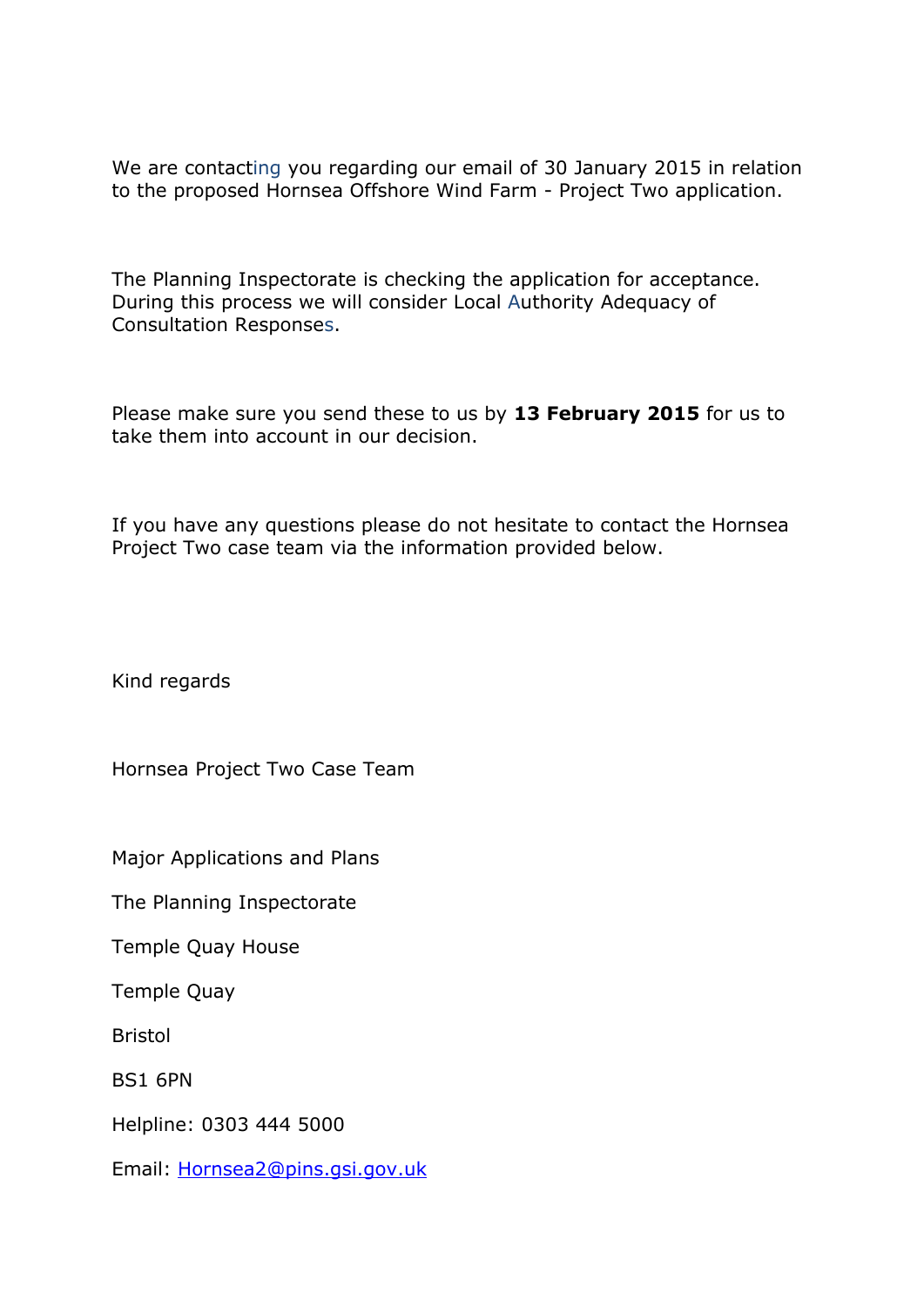We are contacting you regarding our email of 30 January 2015 in relation to the proposed Hornsea Offshore Wind Farm - Project Two application.

The Planning Inspectorate is checking the application for acceptance. During this process we will consider Local Authority Adequacy of Consultation Responses.

Please make sure you send these to us by **13 February 2015** for us to take them into account in our decision.

If you have any questions please do not hesitate to contact the Hornsea Project Two case team via the information provided below.

Kind regards

Hornsea Project Two Case Team

Major Applications and Plans

The Planning Inspectorate

Temple Quay House

Temple Quay

Bristol

BS1 6PN

Helpline: 0303 444 5000

Email: [Hornsea2@pins.gsi.gov.uk](mailto:Hornsea2@pins.gsi.gov.uk)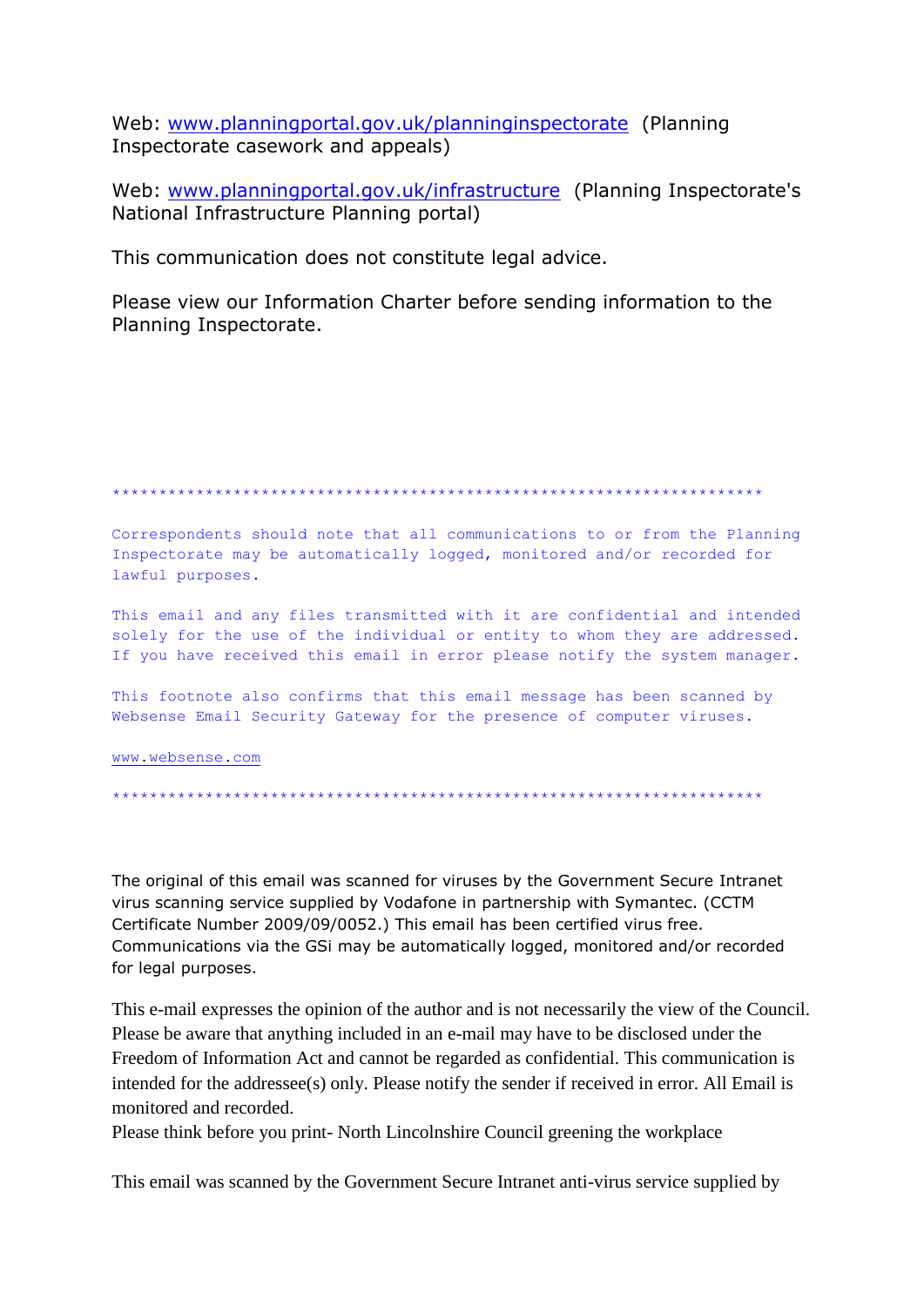Web: www.planningportal.gov.uk/planninginspectorate (Planning Inspectorate casework and appeals)

Web: www.planningportal.gov.uk/infrastructure (Planning Inspectorate's National Infrastructure Planning portal)

This communication does not constitute legal advice.

Please view our Information Charter before sending information to the Planning Inspectorate.

Correspondents should note that all communications to or from the Planning Inspectorate may be automatically logged, monitored and/or recorded for lawful purposes.

This email and any files transmitted with it are confidential and intended solely for the use of the individual or entity to whom they are addressed. If you have received this email in error please notify the system manager.

This footnote also confirms that this email message has been scanned by Websense Email Security Gateway for the presence of computer viruses.

www.websense.com

The original of this email was scanned for viruses by the Government Secure Intranet virus scanning service supplied by Vodafone in partnership with Symantec. (CCTM Certificate Number 2009/09/0052.) This email has been certified virus free. Communications via the GSi may be automatically logged, monitored and/or recorded for legal purposes.

This e-mail expresses the opinion of the author and is not necessarily the view of the Council. Please be aware that anything included in an e-mail may have to be disclosed under the Freedom of Information Act and cannot be regarded as confidential. This communication is intended for the addressee(s) only. Please notify the sender if received in error. All Email is monitored and recorded.

Please think before you print- North Lincolnshire Council greening the workplace

This email was scanned by the Government Secure Intranet anti-virus service supplied by